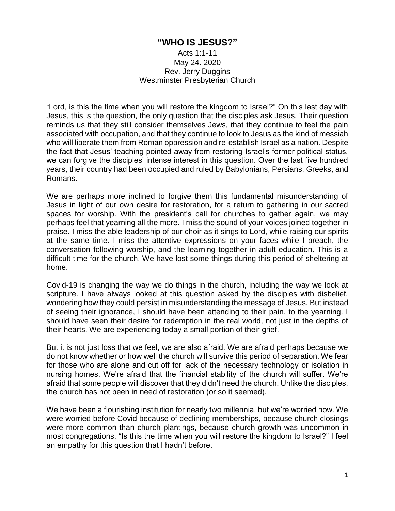## **"WHO IS JESUS?"**

Acts 1:1-11 May 24. 2020 Rev. Jerry Duggins Westminster Presbyterian Church

"Lord, is this the time when you will restore the kingdom to Israel?" On this last day with Jesus, this is the question, the only question that the disciples ask Jesus. Their question reminds us that they still consider themselves Jews, that they continue to feel the pain associated with occupation, and that they continue to look to Jesus as the kind of messiah who will liberate them from Roman oppression and re-establish Israel as a nation. Despite the fact that Jesus' teaching pointed away from restoring Israel's former political status, we can forgive the disciples' intense interest in this question. Over the last five hundred years, their country had been occupied and ruled by Babylonians, Persians, Greeks, and Romans.

We are perhaps more inclined to forgive them this fundamental misunderstanding of Jesus in light of our own desire for restoration, for a return to gathering in our sacred spaces for worship. With the president's call for churches to gather again, we may perhaps feel that yearning all the more. I miss the sound of your voices joined together in praise. I miss the able leadership of our choir as it sings to Lord, while raising our spirits at the same time. I miss the attentive expressions on your faces while I preach, the conversation following worship, and the learning together in adult education. This is a difficult time for the church. We have lost some things during this period of sheltering at home.

Covid-19 is changing the way we do things in the church, including the way we look at scripture. I have always looked at this question asked by the disciples with disbelief, wondering how they could persist in misunderstanding the message of Jesus. But instead of seeing their ignorance, I should have been attending to their pain, to the yearning. I should have seen their desire for redemption in the real world, not just in the depths of their hearts. We are experiencing today a small portion of their grief.

But it is not just loss that we feel, we are also afraid. We are afraid perhaps because we do not know whether or how well the church will survive this period of separation. We fear for those who are alone and cut off for lack of the necessary technology or isolation in nursing homes. We're afraid that the financial stability of the church will suffer. We're afraid that some people will discover that they didn't need the church. Unlike the disciples, the church has not been in need of restoration (or so it seemed).

We have been a flourishing institution for nearly two millennia, but we're worried now. We were worried before Covid because of declining memberships, because church closings were more common than church plantings, because church growth was uncommon in most congregations. "Is this the time when you will restore the kingdom to Israel?" I feel an empathy for this question that I hadn't before.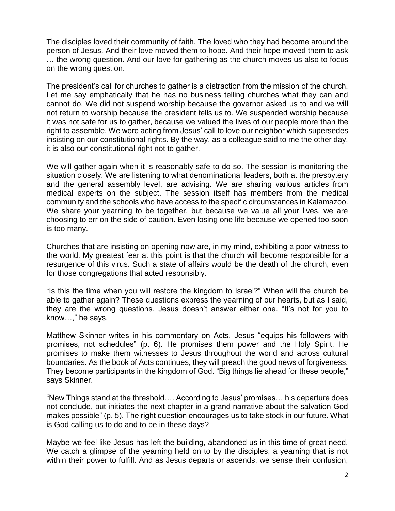The disciples loved their community of faith. The loved who they had become around the person of Jesus. And their love moved them to hope. And their hope moved them to ask … the wrong question. And our love for gathering as the church moves us also to focus on the wrong question.

The president's call for churches to gather is a distraction from the mission of the church. Let me say emphatically that he has no business telling churches what they can and cannot do. We did not suspend worship because the governor asked us to and we will not return to worship because the president tells us to. We suspended worship because it was not safe for us to gather, because we valued the lives of our people more than the right to assemble. We were acting from Jesus' call to love our neighbor which supersedes insisting on our constitutional rights. By the way, as a colleague said to me the other day, it is also our constitutional right not to gather.

We will gather again when it is reasonably safe to do so. The session is monitoring the situation closely. We are listening to what denominational leaders, both at the presbytery and the general assembly level, are advising. We are sharing various articles from medical experts on the subject. The session itself has members from the medical community and the schools who have access to the specific circumstances in Kalamazoo. We share your yearning to be together, but because we value all your lives, we are choosing to err on the side of caution. Even losing one life because we opened too soon is too many.

Churches that are insisting on opening now are, in my mind, exhibiting a poor witness to the world. My greatest fear at this point is that the church will become responsible for a resurgence of this virus. Such a state of affairs would be the death of the church, even for those congregations that acted responsibly.

"Is this the time when you will restore the kingdom to Israel?" When will the church be able to gather again? These questions express the yearning of our hearts, but as I said, they are the wrong questions. Jesus doesn't answer either one. "It's not for you to know…," he says.

Matthew Skinner writes in his commentary on Acts, Jesus "equips his followers with promises, not schedules" (p. 6). He promises them power and the Holy Spirit. He promises to make them witnesses to Jesus throughout the world and across cultural boundaries. As the book of Acts continues, they will preach the good news of forgiveness. They become participants in the kingdom of God. "Big things lie ahead for these people," says Skinner.

"New Things stand at the threshold…. According to Jesus' promises… his departure does not conclude, but initiates the next chapter in a grand narrative about the salvation God makes possible" (p. 5). The right question encourages us to take stock in our future. What is God calling us to do and to be in these days?

Maybe we feel like Jesus has left the building, abandoned us in this time of great need. We catch a glimpse of the yearning held on to by the disciples, a yearning that is not within their power to fulfill. And as Jesus departs or ascends, we sense their confusion,